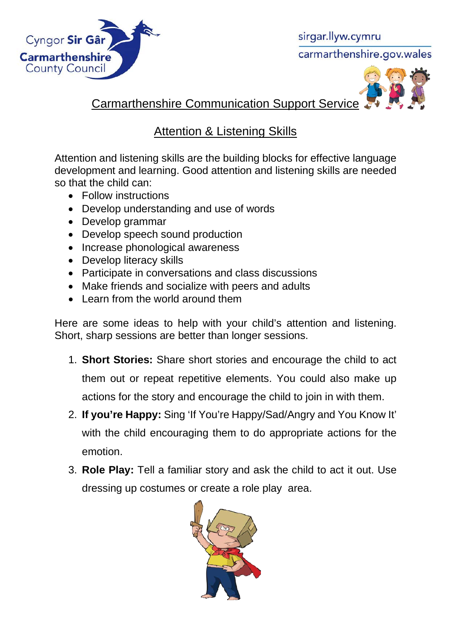

sirgar.llyw.cymru carmarthenshire.gov.wales



Carmarthenshire Communication Support Service

## **Attention & Listening Skills**

Attention and listening skills are the building blocks for effective language development and learning. Good attention and listening skills are needed so that the child can:

- Follow instructions
- Develop understanding and use of words
- Develop grammar
- Develop speech sound production
- Increase phonological awareness
- Develop literacy skills
- Participate in conversations and class discussions
- Make friends and socialize with peers and adults
- Learn from the world around them

Here are some ideas to help with your child's attention and listening. Short, sharp sessions are better than longer sessions.

- 1. **Short Stories:** Share short stories and encourage the child to act them out or repeat repetitive elements. You could also make up actions for the story and encourage the child to join in with them.
- 2. **If you're Happy:** Sing 'If You're Happy/Sad/Angry and You Know It' with the child encouraging them to do appropriate actions for the emotion.
- 3. **Role Play:** Tell a familiar story and ask the child to act it out. Use dressing up costumes or create a role play area.